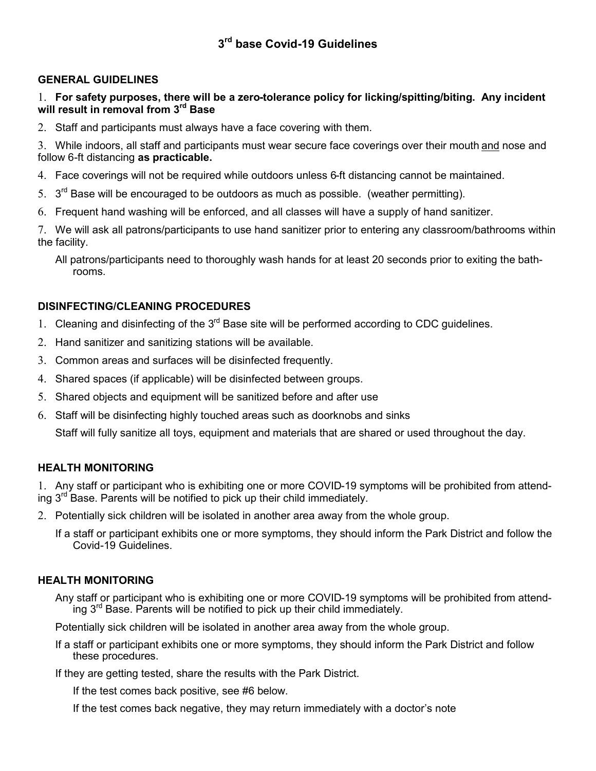### **GENERAL GUIDELINES**

#### 1. **For safety purposes, there will be a zero-tolerance policy for licking/spitting/biting. Any incident will result in removal from 3rd Base**

2. Staff and participants must always have a face covering with them.

3. While indoors, all staff and participants must wear secure face coverings over their mouth and nose and follow 6-ft distancing **as practicable.**

- 4. Face coverings will not be required while outdoors unless 6-ft distancing cannot be maintained.
- 5.  $3<sup>rd</sup>$  Base will be encouraged to be outdoors as much as possible. (weather permitting).
- 6. Frequent hand washing will be enforced, and all classes will have a supply of hand sanitizer.

7. We will ask all patrons/participants to use hand sanitizer prior to entering any classroom/bathrooms within the facility.

All patrons/participants need to thoroughly wash hands for at least 20 seconds prior to exiting the bathrooms.

### **DISINFECTING/CLEANING PROCEDURES**

- 1. Cleaning and disinfecting of the  $3<sup>rd</sup>$  Base site will be performed according to CDC guidelines.
- 2. Hand sanitizer and sanitizing stations will be available.
- 3. Common areas and surfaces will be disinfected frequently.
- 4. Shared spaces (if applicable) will be disinfected between groups.
- 5. Shared objects and equipment will be sanitized before and after use
- 6. Staff will be disinfecting highly touched areas such as doorknobs and sinks

Staff will fully sanitize all toys, equipment and materials that are shared or used throughout the day.

### **HEALTH MONITORING**

1. Any staff or participant who is exhibiting one or more COVID-19 symptoms will be prohibited from attending  $3^{rd}$  Base. Parents will be notified to pick up their child immediately.

- 2. Potentially sick children will be isolated in another area away from the whole group.
	- If a staff or participant exhibits one or more symptoms, they should inform the Park District and follow the Covid-19 Guidelines.

### **HEALTH MONITORING**

Any staff or participant who is exhibiting one or more COVID-19 symptoms will be prohibited from attending  $3<sup>rd</sup>$  Base. Parents will be notified to pick up their child immediately.

Potentially sick children will be isolated in another area away from the whole group.

If a staff or participant exhibits one or more symptoms, they should inform the Park District and follow these procedures.

If they are getting tested, share the results with the Park District.

If the test comes back positive, see #6 below.

If the test comes back negative, they may return immediately with a doctor's note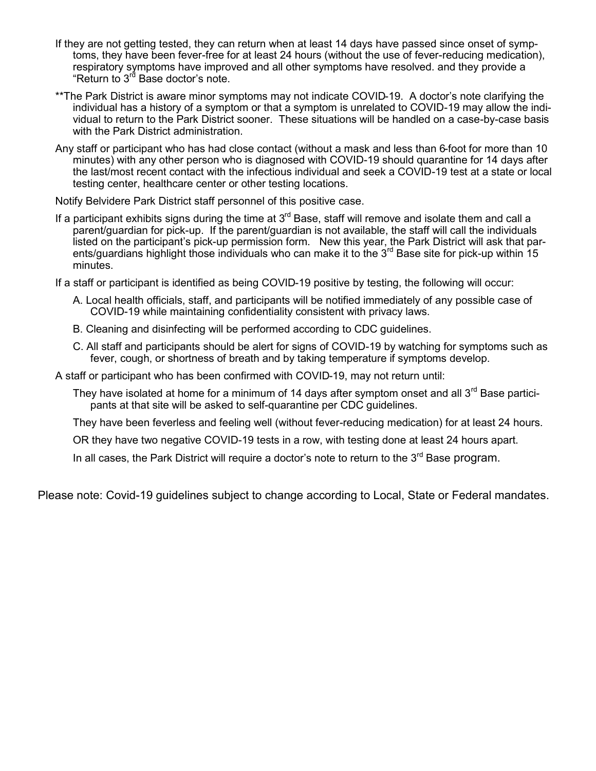- If they are not getting tested, they can return when at least 14 days have passed since onset of symptoms, they have been fever-free for at least 24 hours (without the use of fever-reducing medication), respiratory symptoms have improved and all other symptoms have resolved. and they provide a "Return to 3<sup>rd</sup> Base doctor's note.
- \*\*The Park District is aware minor symptoms may not indicate COVID-19. A doctor's note clarifying the individual has a history of a symptom or that a symptom is unrelated to COVID-19 may allow the individual to return to the Park District sooner. These situations will be handled on a case-by-case basis with the Park District administration.
- Any staff or participant who has had close contact (without a mask and less than 6-foot for more than 10 minutes) with any other person who is diagnosed with COVID-19 should quarantine for 14 days after the last/most recent contact with the infectious individual and seek a COVID-19 test at a state or local testing center, healthcare center or other testing locations.

Notify Belvidere Park District staff personnel of this positive case.

If a participant exhibits signs during the time at  $3<sup>rd</sup>$  Base, staff will remove and isolate them and call a parent/guardian for pick-up. If the parent/guardian is not available, the staff will call the individuals listed on the participant's pick-up permission form. New this year, the Park District will ask that parents/guardians highlight those individuals who can make it to the  $3<sup>rd</sup>$  Base site for pick-up within 15 minutes.

If a staff or participant is identified as being COVID-19 positive by testing, the following will occur:

- A. Local health officials, staff, and participants will be notified immediately of any possible case of COVID-19 while maintaining confidentiality consistent with privacy laws.
- B. Cleaning and disinfecting will be performed according to CDC guidelines.
- C. All staff and participants should be alert for signs of COVID-19 by watching for symptoms such as fever, cough, or shortness of breath and by taking temperature if symptoms develop.

A staff or participant who has been confirmed with COVID-19, may not return until:

They have isolated at home for a minimum of 14 days after symptom onset and all 3<sup>rd</sup> Base participants at that site will be asked to self-quarantine per CDC guidelines.

They have been feverless and feeling well (without fever-reducing medication) for at least 24 hours.

OR they have two negative COVID-19 tests in a row, with testing done at least 24 hours apart.

In all cases, the Park District will require a doctor's note to return to the  $3<sup>rd</sup>$  Base program.

Please note: Covid-19 guidelines subject to change according to Local, State or Federal mandates.